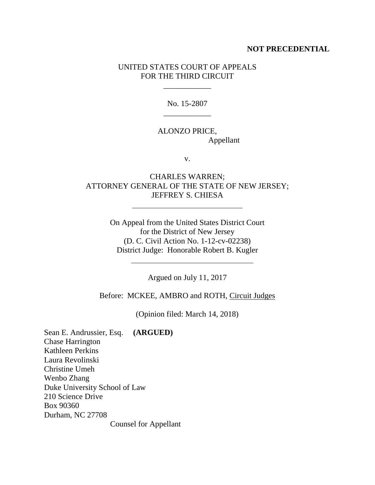## **NOT PRECEDENTIAL**

## UNITED STATES COURT OF APPEALS FOR THE THIRD CIRCUIT

\_\_\_\_\_\_\_\_\_\_\_\_

No. 15-2807 \_\_\_\_\_\_\_\_\_\_\_\_

# ALONZO PRICE, Appellant

v.

## CHARLES WARREN; ATTORNEY GENERAL OF THE STATE OF NEW JERSEY; JEFFREY S. CHIESA

On Appeal from the United States District Court for the District of New Jersey (D. C. Civil Action No. 1-12-cv-02238) District Judge: Honorable Robert B. Kugler

Argued on July 11, 2017

Before: MCKEE, AMBRO and ROTH, Circuit Judges

(Opinion filed: March 14, 2018)

Sean E. Andrussier, Esq. **(ARGUED)** Chase Harrington Kathleen Perkins Laura Revolinski Christine Umeh Wenbo Zhang Duke University School of Law 210 Science Drive Box 90360 Durham, NC 27708 Counsel for Appellant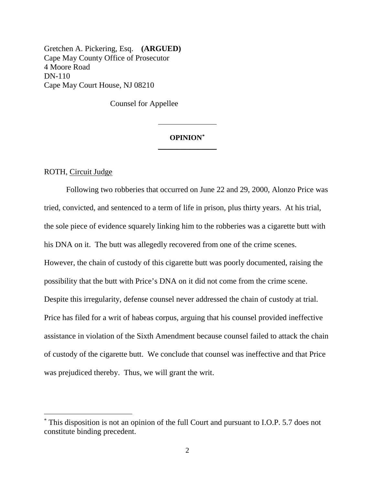Gretchen A. Pickering, Esq. **(ARGUED)** Cape May County Office of Prosecutor 4 Moore Road DN-110 Cape May Court House, NJ 08210

Counsel for Appellee

## **OPINION\***  $\overline{\phantom{a}}$  , where  $\overline{\phantom{a}}$

#### ROTH, Circuit Judge

 $\overline{a}$ 

Following two robberies that occurred on June 22 and 29, 2000, Alonzo Price was tried, convicted, and sentenced to a term of life in prison, plus thirty years. At his trial, the sole piece of evidence squarely linking him to the robberies was a cigarette butt with his DNA on it. The butt was allegedly recovered from one of the crime scenes. However, the chain of custody of this cigarette butt was poorly documented, raising the possibility that the butt with Price's DNA on it did not come from the crime scene. Despite this irregularity, defense counsel never addressed the chain of custody at trial. Price has filed for a writ of habeas corpus, arguing that his counsel provided ineffective assistance in violation of the Sixth Amendment because counsel failed to attack the chain of custody of the cigarette butt. We conclude that counsel was ineffective and that Price was prejudiced thereby. Thus, we will grant the writ.

<sup>\*</sup> This disposition is not an opinion of the full Court and pursuant to I.O.P. 5.7 does not constitute binding precedent.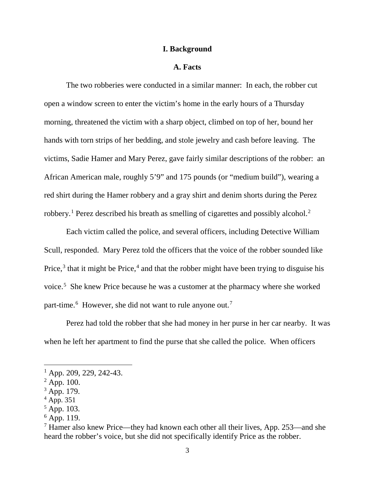### **I. Background**

## **A. Facts**

The two robberies were conducted in a similar manner: In each, the robber cut open a window screen to enter the victim's home in the early hours of a Thursday morning, threatened the victim with a sharp object, climbed on top of her, bound her hands with torn strips of her bedding, and stole jewelry and cash before leaving. The victims, Sadie Hamer and Mary Perez, gave fairly similar descriptions of the robber: an African American male, roughly 5'9" and 175 pounds (or "medium build"), wearing a red shirt during the Hamer robbery and a gray shirt and denim shorts during the Perez robbery.1 Perez described his breath as smelling of cigarettes and possibly alcohol.2

Each victim called the police, and several officers, including Detective William Scull, responded. Mary Perez told the officers that the voice of the robber sounded like Price, $3$  that it might be Price, $4$  and that the robber might have been trying to disguise his voice. <sup>5</sup> She knew Price because he was a customer at the pharmacy where she worked part-time.<sup>6</sup> However, she did not want to rule anyone out.<sup>7</sup>

Perez had told the robber that she had money in her purse in her car nearby. It was when he left her apartment to find the purse that she called the police. When officers

 $<sup>1</sup>$  App. 209, 229, 242-43.</sup>

 $^{2}$  App. 100.

<sup>&</sup>lt;sup>3</sup> App. 179.

 $^{4}$  App. 351

 $5$  App. 103.

 $6$  App. 119.

<sup>7</sup> Hamer also knew Price—they had known each other all their lives, App. 253—and she heard the robber's voice, but she did not specifically identify Price as the robber.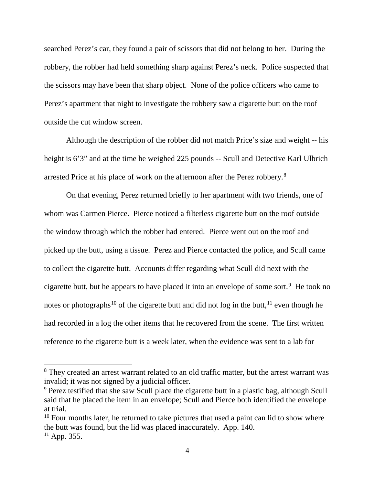searched Perez's car, they found a pair of scissors that did not belong to her. During the robbery, the robber had held something sharp against Perez's neck. Police suspected that the scissors may have been that sharp object. None of the police officers who came to Perez's apartment that night to investigate the robbery saw a cigarette butt on the roof outside the cut window screen.

Although the description of the robber did not match Price's size and weight -- his height is 6'3" and at the time he weighed 225 pounds -- Scull and Detective Karl Ulbrich arrested Price at his place of work on the afternoon after the Perez robbery.<sup>8</sup>

On that evening, Perez returned briefly to her apartment with two friends, one of whom was Carmen Pierce. Pierce noticed a filterless cigarette butt on the roof outside the window through which the robber had entered. Pierce went out on the roof and picked up the butt, using a tissue. Perez and Pierce contacted the police, and Scull came to collect the cigarette butt. Accounts differ regarding what Scull did next with the cigarette butt, but he appears to have placed it into an envelope of some sort. <sup>9</sup> He took no notes or photographs<sup>10</sup> of the cigarette butt and did not log in the butt,  $11$  even though he had recorded in a log the other items that he recovered from the scene. The first written reference to the cigarette butt is a week later, when the evidence was sent to a lab for

<sup>&</sup>lt;sup>8</sup> They created an arrest warrant related to an old traffic matter, but the arrest warrant was invalid; it was not signed by a judicial officer.

<sup>&</sup>lt;sup>9</sup> Perez testified that she saw Scull place the cigarette butt in a plastic bag, although Scull said that he placed the item in an envelope; Scull and Pierce both identified the envelope at trial.

 $10$  Four months later, he returned to take pictures that used a paint can lid to show where the butt was found, but the lid was placed inaccurately. App. 140.

 $11$  App. 355.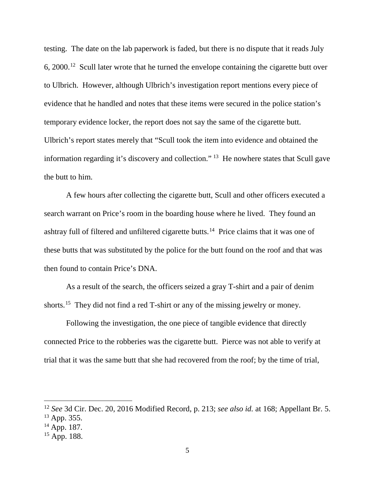testing. The date on the lab paperwork is faded, but there is no dispute that it reads July 6, 2000. 12 Scull later wrote that he turned the envelope containing the cigarette butt over to Ulbrich. However, although Ulbrich's investigation report mentions every piece of evidence that he handled and notes that these items were secured in the police station's temporary evidence locker, the report does not say the same of the cigarette butt. Ulbrich's report states merely that "Scull took the item into evidence and obtained the information regarding it's discovery and collection." <sup>13</sup> He nowhere states that Scull gave the butt to him.

A few hours after collecting the cigarette butt, Scull and other officers executed a search warrant on Price's room in the boarding house where he lived. They found an ashtray full of filtered and unfiltered cigarette butts.<sup>14</sup> Price claims that it was one of these butts that was substituted by the police for the butt found on the roof and that was then found to contain Price's DNA.

As a result of the search, the officers seized a gray T-shirt and a pair of denim shorts.<sup>15</sup> They did not find a red T-shirt or any of the missing jewelry or money.

Following the investigation, the one piece of tangible evidence that directly connected Price to the robberies was the cigarette butt. Pierce was not able to verify at trial that it was the same butt that she had recovered from the roof; by the time of trial,

 <sup>12</sup> *See* 3d Cir. Dec. 20, 2016 Modified Record, p. 213; *see also id.* at 168; Appellant Br. 5.  $13$  App. 355.

<sup>14</sup> App. 187.

 $15$  App. 188.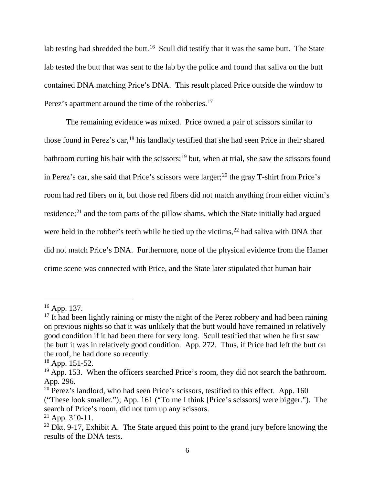lab testing had shredded the butt.<sup>16</sup> Scull did testify that it was the same butt. The State lab tested the butt that was sent to the lab by the police and found that saliva on the butt contained DNA matching Price's DNA. This result placed Price outside the window to Perez's apartment around the time of the robberies.<sup>17</sup>

The remaining evidence was mixed. Price owned a pair of scissors similar to those found in Perez's car,<sup>18</sup> his landlady testified that she had seen Price in their shared bathroom cutting his hair with the scissors;<sup>19</sup> but, when at trial, she saw the scissors found in Perez's car, she said that Price's scissors were larger;<sup>20</sup> the gray T-shirt from Price's room had red fibers on it, but those red fibers did not match anything from either victim's residence;<sup>21</sup> and the torn parts of the pillow shams, which the State initially had argued were held in the robber's teeth while he tied up the victims,<sup>22</sup> had saliva with DNA that did not match Price's DNA. Furthermore, none of the physical evidence from the Hamer crime scene was connected with Price, and the State later stipulated that human hair

 <sup>16</sup> App. 137.

 $17$  It had been lightly raining or misty the night of the Perez robbery and had been raining on previous nights so that it was unlikely that the butt would have remained in relatively good condition if it had been there for very long. Scull testified that when he first saw the butt it was in relatively good condition. App. 272. Thus, if Price had left the butt on the roof, he had done so recently.

 $18$  App. 151-52.

 $19$  App. 153. When the officers searched Price's room, they did not search the bathroom. App. 296.

 $20$  Perez's landlord, who had seen Price's scissors, testified to this effect. App. 160 ("These look smaller."); App. 161 ("To me I think [Price's scissors] were bigger."). The search of Price's room, did not turn up any scissors.

 $21$  App. 310-11.

<sup>&</sup>lt;sup>22</sup> Dkt. 9-17, Exhibit A. The State argued this point to the grand jury before knowing the results of the DNA tests.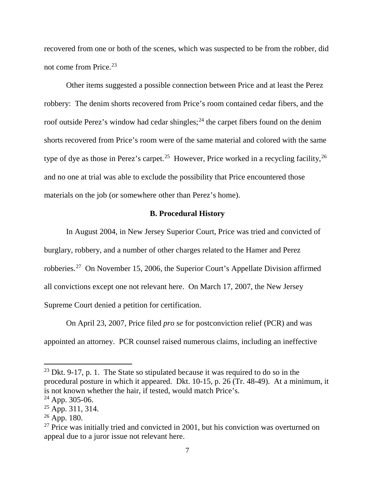recovered from one or both of the scenes, which was suspected to be from the robber, did not come from Price.23

Other items suggested a possible connection between Price and at least the Perez robbery: The denim shorts recovered from Price's room contained cedar fibers, and the roof outside Perez's window had cedar shingles;<sup>24</sup> the carpet fibers found on the denim shorts recovered from Price's room were of the same material and colored with the same type of dye as those in Perez's carpet.<sup>25</sup> However, Price worked in a recycling facility,<sup>26</sup> and no one at trial was able to exclude the possibility that Price encountered those materials on the job (or somewhere other than Perez's home).

## **B. Procedural History**

In August 2004, in New Jersey Superior Court, Price was tried and convicted of burglary, robbery, and a number of other charges related to the Hamer and Perez robberies.27 On November 15, 2006, the Superior Court's Appellate Division affirmed all convictions except one not relevant here. On March 17, 2007, the New Jersey Supreme Court denied a petition for certification.

On April 23, 2007, Price filed *pro se* for postconviction relief (PCR) and was appointed an attorney. PCR counsel raised numerous claims, including an ineffective

<sup>&</sup>lt;sup>23</sup> Dkt. 9-17, p. 1. The State so stipulated because it was required to do so in the procedural posture in which it appeared. Dkt. 10-15, p. 26 (Tr. 48-49). At a minimum, it is not known whether the hair, if tested, would match Price's.

 $24$  App. 305-06.

 $25$  App. 311, 314.

 $26$  App. 180.

 $27$  Price was initially tried and convicted in 2001, but his conviction was overturned on appeal due to a juror issue not relevant here.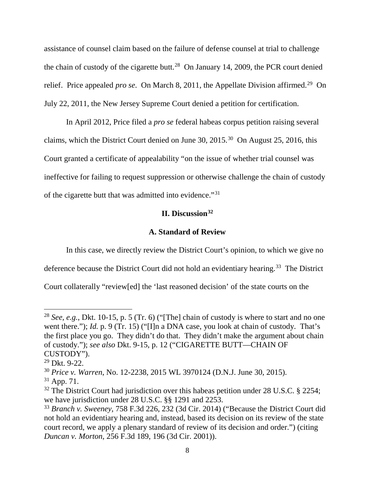assistance of counsel claim based on the failure of defense counsel at trial to challenge the chain of custody of the cigarette butt.<sup>28</sup> On January 14, 2009, the PCR court denied relief. Price appealed *pro se*. On March 8, 2011, the Appellate Division affirmed.<sup>29</sup> On July 22, 2011, the New Jersey Supreme Court denied a petition for certification.

In April 2012, Price filed a *pro se* federal habeas corpus petition raising several claims, which the District Court denied on June 30, 2015.30 On August 25, 2016, this Court granted a certificate of appealability "on the issue of whether trial counsel was ineffective for failing to request suppression or otherwise challenge the chain of custody of the cigarette butt that was admitted into evidence."31

# **II. Discussion**<sup>32</sup>

#### **A. Standard of Review**

In this case, we directly review the District Court's opinion, to which we give no

deference because the District Court did not hold an evidentiary hearing. <sup>33</sup> The District

Court collaterally "review[ed] the 'last reasoned decision' of the state courts on the

 <sup>28</sup> *See, e.g.*, Dkt. 10-15, p. 5 (Tr. 6) ("[The] chain of custody is where to start and no one went there."); *Id.* p. 9 (Tr. 15) ("[I]n a DNA case, you look at chain of custody. That's the first place you go. They didn't do that. They didn't make the argument about chain of custody."); *see also* Dkt. 9-15, p. 12 ("CIGARETTE BUTT—CHAIN OF CUSTODY").

<sup>29</sup> Dkt. 9-22.

<sup>30</sup> *Price v. Warren*, No. 12-2238, 2015 WL 3970124 (D.N.J. June 30, 2015).

 $31$  App. 71.

<sup>&</sup>lt;sup>32</sup> The District Court had jurisdiction over this habeas petition under 28 U.S.C. § 2254; we have jurisdiction under 28 U.S.C. §§ 1291 and 2253.

<sup>33</sup> *Branch v. Sweeney*, 758 F.3d 226, 232 (3d Cir. 2014) ("Because the District Court did not hold an evidentiary hearing and, instead, based its decision on its review of the state court record, we apply a plenary standard of review of its decision and order.") (citing *Duncan v. Morton*, 256 F.3d 189, 196 (3d Cir. 2001)).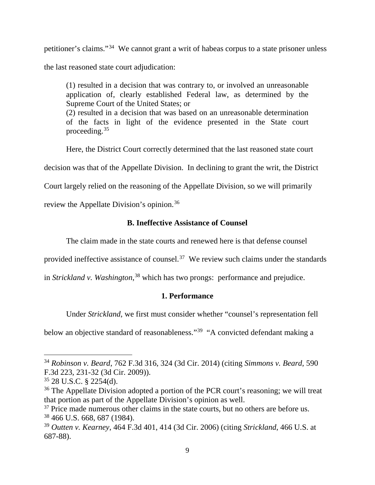petitioner's claims."34 We cannot grant a writ of habeas corpus to a state prisoner unless the last reasoned state court adjudication:

(1) resulted in a decision that was contrary to, or involved an unreasonable application of, clearly established Federal law, as determined by the Supreme Court of the United States; or (2) resulted in a decision that was based on an unreasonable determination of the facts in light of the evidence presented in the State court proceeding.35

Here, the District Court correctly determined that the last reasoned state court

decision was that of the Appellate Division. In declining to grant the writ, the District

Court largely relied on the reasoning of the Appellate Division, so we will primarily

review the Appellate Division's opinion.<sup>36</sup>

# **B. Ineffective Assistance of Counsel**

The claim made in the state courts and renewed here is that defense counsel

provided ineffective assistance of counsel.<sup>37</sup> We review such claims under the standards

in *Strickland v. Washington*, <sup>38</sup> which has two prongs: performance and prejudice.

# **1. Performance**

Under *Strickland*, we first must consider whether "counsel's representation fell

below an objective standard of reasonableness."<sup>39</sup> "A convicted defendant making a

 <sup>34</sup> *Robinson v. Beard*, 762 F.3d 316, 324 (3d Cir. 2014) (citing *Simmons v. Beard*, 590 F.3d 223, 231-32 (3d Cir. 2009)).

<sup>35</sup> 28 U.S.C. § 2254(d).

<sup>&</sup>lt;sup>36</sup> The Appellate Division adopted a portion of the PCR court's reasoning; we will treat that portion as part of the Appellate Division's opinion as well.

<sup>&</sup>lt;sup>37</sup> Price made numerous other claims in the state courts, but no others are before us. <sup>38</sup> 466 U.S. 668, 687 (1984).

<sup>39</sup> *Outten v. Kearney*, 464 F.3d 401, 414 (3d Cir. 2006) (citing *Strickland*, 466 U.S. at 687-88).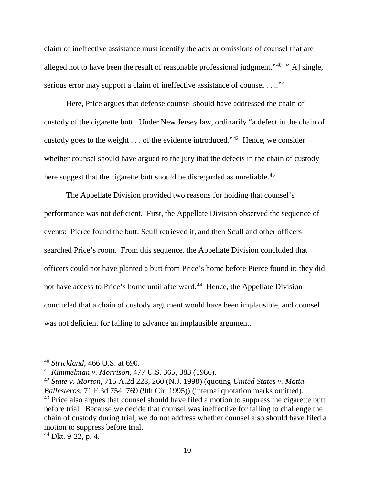claim of ineffective assistance must identify the acts or omissions of counsel that are alleged not to have been the result of reasonable professional judgment."40 "[A] single, serious error may support a claim of ineffective assistance of counsel  $\dots$ <sup>41</sup>

Here, Price argues that defense counsel should have addressed the chain of custody of the cigarette butt. Under New Jersey law, ordinarily "a defect in the chain of custody goes to the weight  $\dots$  of the evidence introduced."<sup>42</sup> Hence, we consider whether counsel should have argued to the jury that the defects in the chain of custody here suggest that the cigarette butt should be disregarded as unreliable.<sup>43</sup>

The Appellate Division provided two reasons for holding that counsel's performance was not deficient. First, the Appellate Division observed the sequence of events: Pierce found the butt, Scull retrieved it, and then Scull and other officers searched Price's room. From this sequence, the Appellate Division concluded that officers could not have planted a butt from Price's home before Pierce found it; they did not have access to Price's home until afterward.<sup>44</sup> Hence, the Appellate Division concluded that a chain of custody argument would have been implausible, and counsel was not deficient for failing to advance an implausible argument.

 <sup>40</sup> *Strickland*, 466 U.S. at 690.

<sup>41</sup> *Kimmelman v. Morrison*, 477 U.S. 365, 383 (1986).

<sup>42</sup> *State v. Morton*, 715 A.2d 228, 260 (N.J. 1998) (quoting *United States v. Matta-Ballesteros*, 71 F.3d 754, 769 (9th Cir. 1995)) (internal quotation marks omitted). <sup>43</sup> Price also argues that counsel should have filed a motion to suppress the cigarette butt before trial. Because we decide that counsel was ineffective for failing to challenge the chain of custody during trial, we do not address whether counsel also should have filed a motion to suppress before trial.

 $44$  Dkt. 9-22, p. 4.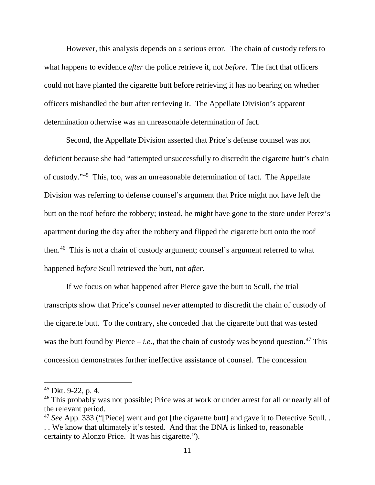However, this analysis depends on a serious error. The chain of custody refers to what happens to evidence *after* the police retrieve it, not *before*. The fact that officers could not have planted the cigarette butt before retrieving it has no bearing on whether officers mishandled the butt after retrieving it. The Appellate Division's apparent determination otherwise was an unreasonable determination of fact.

Second, the Appellate Division asserted that Price's defense counsel was not deficient because she had "attempted unsuccessfully to discredit the cigarette butt's chain of custody."45 This, too, was an unreasonable determination of fact. The Appellate Division was referring to defense counsel's argument that Price might not have left the butt on the roof before the robbery; instead, he might have gone to the store under Perez's apartment during the day after the robbery and flipped the cigarette butt onto the roof then.46 This is not a chain of custody argument; counsel's argument referred to what happened *before* Scull retrieved the butt, not *after*.

If we focus on what happened after Pierce gave the butt to Scull, the trial transcripts show that Price's counsel never attempted to discredit the chain of custody of the cigarette butt. To the contrary, she conceded that the cigarette butt that was tested was the butt found by Pierce – *i.e.*, that the chain of custody was beyond question.<sup>47</sup> This concession demonstrates further ineffective assistance of counsel. The concession

 $45$  Dkt. 9-22, p. 4.

<sup>&</sup>lt;sup>46</sup> This probably was not possible; Price was at work or under arrest for all or nearly all of the relevant period.

<sup>&</sup>lt;sup>47</sup> *See* App. 333 ("[Piece] went and got [the cigarette butt] and gave it to Detective Scull. .

<sup>. .</sup> We know that ultimately it's tested. And that the DNA is linked to, reasonable certainty to Alonzo Price. It was his cigarette.").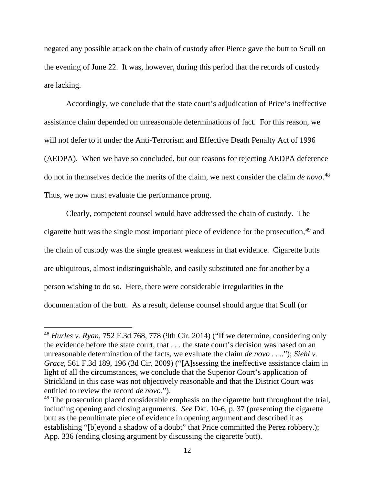negated any possible attack on the chain of custody after Pierce gave the butt to Scull on the evening of June 22. It was, however, during this period that the records of custody are lacking.

Accordingly, we conclude that the state court's adjudication of Price's ineffective assistance claim depended on unreasonable determinations of fact. For this reason, we will not defer to it under the Anti-Terrorism and Effective Death Penalty Act of 1996 (AEDPA). When we have so concluded, but our reasons for rejecting AEDPA deference do not in themselves decide the merits of the claim, we next consider the claim *de novo*. 48 Thus, we now must evaluate the performance prong.

Clearly, competent counsel would have addressed the chain of custody. The cigarette butt was the single most important piece of evidence for the prosecution, <sup>49</sup> and the chain of custody was the single greatest weakness in that evidence. Cigarette butts are ubiquitous, almost indistinguishable, and easily substituted one for another by a person wishing to do so. Here, there were considerable irregularities in the documentation of the butt. As a result, defense counsel should argue that Scull (or

 <sup>48</sup> *Hurles v. Ryan*, 752 F.3d 768, 778 (9th Cir. 2014) ("If we determine, considering only the evidence before the state court, that . . . the state court's decision was based on an unreasonable determination of the facts, we evaluate the claim *de novo* . . .."); *Siehl v. Grace*, 561 F.3d 189, 196 (3d Cir. 2009) ("[A]ssessing the ineffective assistance claim in light of all the circumstances, we conclude that the Superior Court's application of Strickland in this case was not objectively reasonable and that the District Court was entitled to review the record *de novo*.").

<sup>&</sup>lt;sup>49</sup> The prosecution placed considerable emphasis on the cigarette butt throughout the trial, including opening and closing arguments. *See* Dkt. 10-6, p. 37 (presenting the cigarette butt as the penultimate piece of evidence in opening argument and described it as establishing "[b]eyond a shadow of a doubt" that Price committed the Perez robbery.); App. 336 (ending closing argument by discussing the cigarette butt).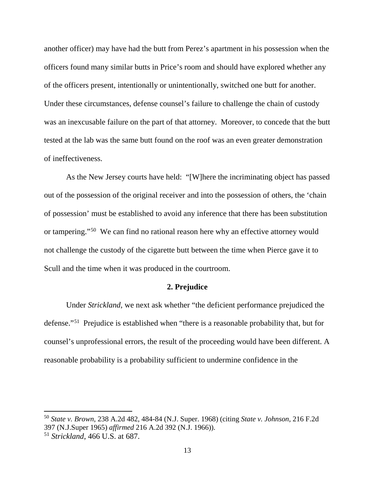another officer) may have had the butt from Perez's apartment in his possession when the officers found many similar butts in Price's room and should have explored whether any of the officers present, intentionally or unintentionally, switched one butt for another. Under these circumstances, defense counsel's failure to challenge the chain of custody was an inexcusable failure on the part of that attorney. Moreover, to concede that the butt tested at the lab was the same butt found on the roof was an even greater demonstration of ineffectiveness.

As the New Jersey courts have held: "[W]here the incriminating object has passed out of the possession of the original receiver and into the possession of others, the 'chain of possession' must be established to avoid any inference that there has been substitution or tampering."50 We can find no rational reason here why an effective attorney would not challenge the custody of the cigarette butt between the time when Pierce gave it to Scull and the time when it was produced in the courtroom.

## **2. Prejudice**

Under *Strickland*, we next ask whether "the deficient performance prejudiced the defense."51 Prejudice is established when "there is a reasonable probability that, but for counsel's unprofessional errors, the result of the proceeding would have been different. A reasonable probability is a probability sufficient to undermine confidence in the

 <sup>50</sup> *State v. Brown*, 238 A.2d 482, 484-84 (N.J. Super. 1968) (citing *State v. Johnson*, 216 F.2d 397 (N.J.Super 1965) *affirmed* 216 A.2d 392 (N.J. 1966)).

<sup>51</sup> *Strickland*, 466 U.S. at 687.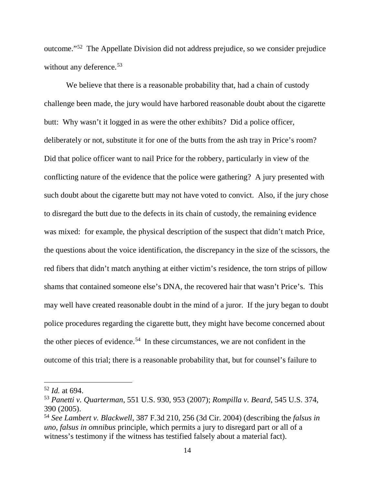outcome."52 The Appellate Division did not address prejudice, so we consider prejudice without any deference.<sup>53</sup>

We believe that there is a reasonable probability that, had a chain of custody challenge been made, the jury would have harbored reasonable doubt about the cigarette butt: Why wasn't it logged in as were the other exhibits? Did a police officer, deliberately or not, substitute it for one of the butts from the ash tray in Price's room? Did that police officer want to nail Price for the robbery, particularly in view of the conflicting nature of the evidence that the police were gathering? A jury presented with such doubt about the cigarette butt may not have voted to convict. Also, if the jury chose to disregard the butt due to the defects in its chain of custody, the remaining evidence was mixed: for example, the physical description of the suspect that didn't match Price, the questions about the voice identification, the discrepancy in the size of the scissors, the red fibers that didn't match anything at either victim's residence, the torn strips of pillow shams that contained someone else's DNA, the recovered hair that wasn't Price's. This may well have created reasonable doubt in the mind of a juror. If the jury began to doubt police procedures regarding the cigarette butt, they might have become concerned about the other pieces of evidence.<sup>54</sup> In these circumstances, we are not confident in the outcome of this trial; there is a reasonable probability that, but for counsel's failure to

 <sup>52</sup> *Id.* at 694.

<sup>53</sup> *Panetti v. Quarterman*, 551 U.S. 930, 953 (2007); *Rompilla v. Beard*, 545 U.S. 374, 390 (2005).

<sup>54</sup> *See Lambert v. Blackwell*, 387 F.3d 210, 256 (3d Cir. 2004) (describing the *falsus in uno, falsus in omnibus* principle, which permits a jury to disregard part or all of a witness's testimony if the witness has testified falsely about a material fact).